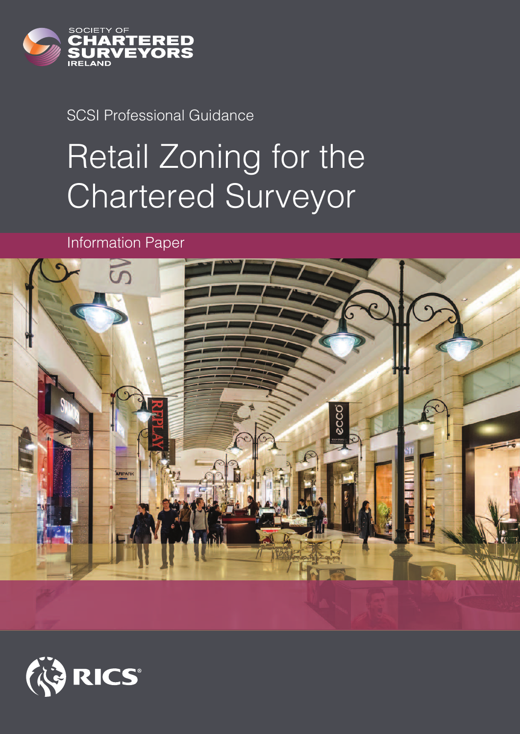

### SCSI Professional Guidance

# Retail Zoning for the Chartered Surveyor

Information Paper



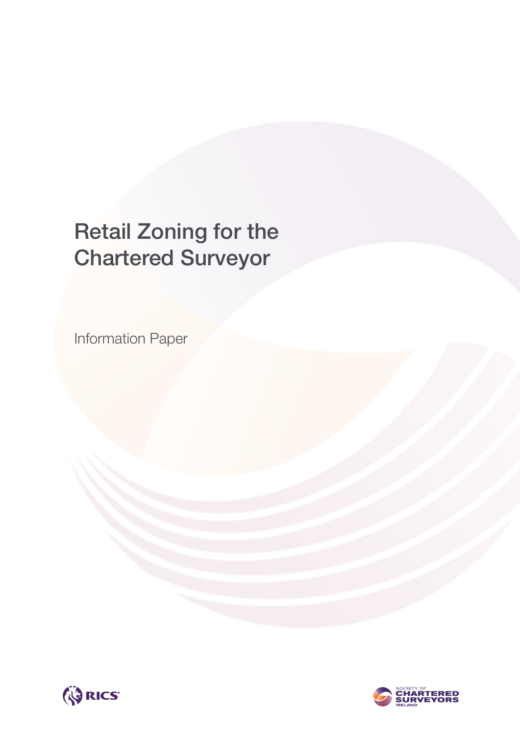# **Retail Zoning for the Chartered Surveyor**

Information Paper



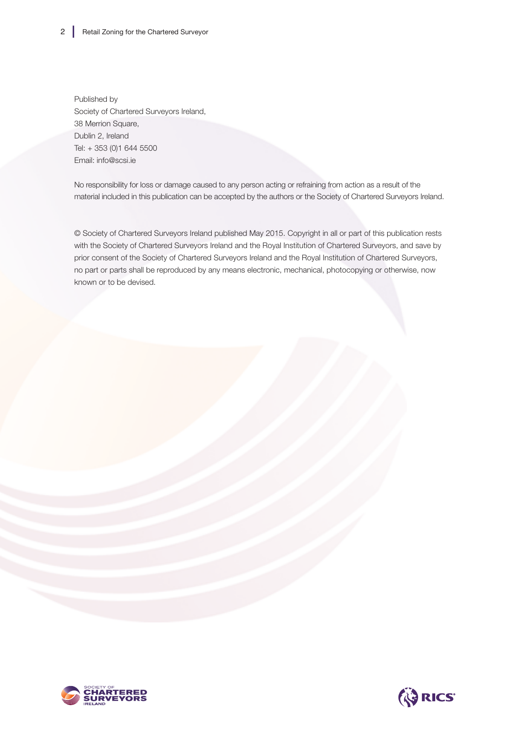Published by Society of Chartered Surveyors Ireland, 38 Merrion Square, Dublin 2, Ireland Tel: + 353 (0)1 644 5500 Email: info@scsi.ie

No responsibility for loss or damage caused to any person acting or refraining from action as a result of the material included in this publication can be accepted by the authors or the Society of Chartered Surveyors Ireland.

© Society of Chartered Surveyors Ireland published May 2015. Copyright in all or part of this publication rests with the Society of Chartered Surveyors Ireland and the Royal Institution of Chartered Surveyors, and save by prior consent of the Society of Chartered Surveyors Ireland and the Royal Institution of Chartered Surveyors, no part or parts shall be reproduced by any means electronic, mechanical, photocopying or otherwise, now known or to be devised.



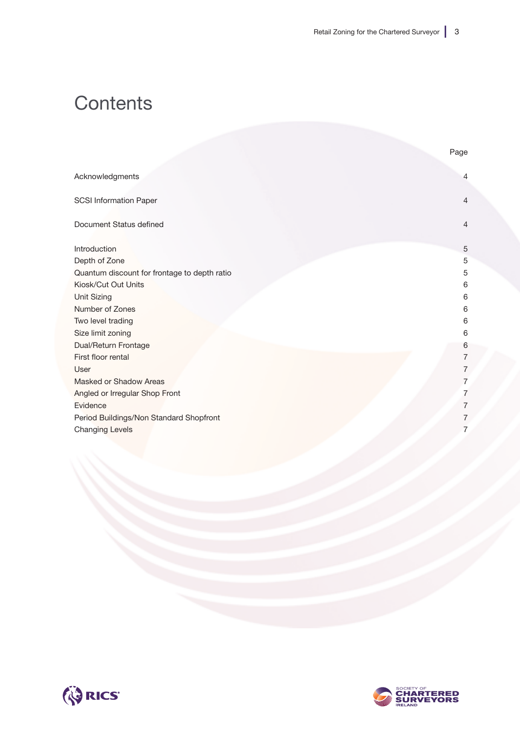## **Contents**

|                                              | Page           |
|----------------------------------------------|----------------|
| Acknowledgments                              | 4              |
| <b>SCSI Information Paper</b>                | $\overline{4}$ |
| Document Status defined                      | $\overline{4}$ |
| Introduction                                 | 5              |
| Depth of Zone                                | 5              |
| Quantum discount for frontage to depth ratio | 5              |
| Kiosk/Cut Out Units                          | 6              |
| Unit Sizing                                  | 6              |
| Number of Zones                              | 6              |
| Two level trading                            | 6              |
| Size limit zoning                            | 6              |
| Dual/Return Frontage                         | 6              |
| First floor rental                           | 7              |
| User                                         | 7              |
| Masked or Shadow Areas                       | 7              |
| Angled or Irregular Shop Front               | 7              |
| Evidence                                     | 7              |
| Period Buildings/Non Standard Shopfront      | 7              |
| <b>Changing Levels</b>                       | 7              |
|                                              |                |



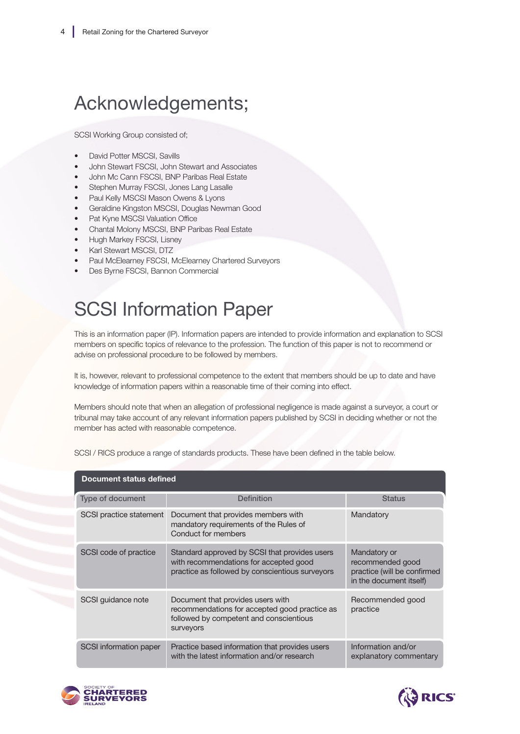# Acknowledgements;

SCSI Working Group consisted of;

- David Potter MSCSI, Savills
- John Stewart FSCSI, John Stewart and Associates
- John Mc Cann FSCSI, BNP Paribas Real Estate
- Stephen Murray FSCSI, Jones Lang Lasalle
- Paul Kelly MSCSI Mason Owens & Lyons
- Geraldine Kingston MSCSI, Douglas Newman Good
- Pat Kyne MSCSI Valuation Office
- Chantal Molony MSCSI, BNP Paribas Real Estate
- Hugh Markey FSCSI, Lisney
- Karl Stewart MSCSI, DTZ
- Paul McElearney FSCSI, McElearney Chartered Surveyors
- Des Byrne FSCSI, Bannon Commercial

# SCSI Information Paper

This is an information paper (IP). Information papers are intended to provide information and explanation to SCSI members on specific topics of relevance to the profession. The function of this paper is not to recommend or advise on professional procedure to be followed by members.

It is, however, relevant to professional competence to the extent that members should be up to date and have knowledge of information papers within a reasonable time of their coming into effect.

Members should note that when an allegation of professional negligence is made against a surveyor, a court or tribunal may take account of any relevant information papers published by SCSI in deciding whether or not the member has acted with reasonable competence.

| Document status defined |                                                                                                                                            |                                                                                            |
|-------------------------|--------------------------------------------------------------------------------------------------------------------------------------------|--------------------------------------------------------------------------------------------|
| Type of document        | <b>Definition</b>                                                                                                                          | <b>Status</b>                                                                              |
| SCSI practice statement | Document that provides members with<br>mandatory requirements of the Rules of<br>Conduct for members                                       | Mandatory                                                                                  |
| SCSI code of practice   | Standard approved by SCSI that provides users<br>with recommendations for accepted good<br>practice as followed by conscientious surveyors | Mandatory or<br>recommended good<br>practice (will be confirmed<br>in the document itself) |
| SCSI guidance note      | Document that provides users with<br>recommendations for accepted good practice as<br>followed by competent and conscientious<br>surveyors | Recommended good<br>practice                                                               |
| SCSI information paper  | Practice based information that provides users<br>with the latest information and/or research                                              | Information and/or<br>explanatory commentary                                               |

SCSI / RICS produce a range of standards products. These have been defined in the table below.



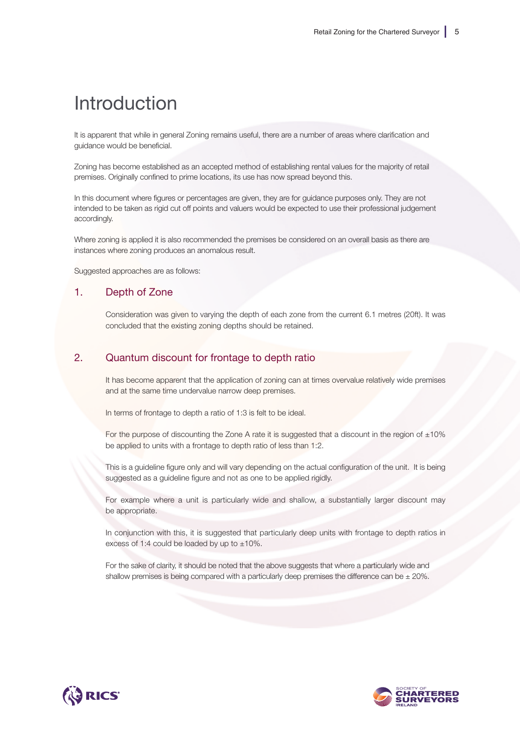### Introduction

It is apparent that while in general Zoning remains useful, there are a number of areas where clarification and guidance would be beneficial.

Zoning has become established as an accepted method of establishing rental values for the majority of retail premises. Originally confined to prime locations, its use has now spread beyond this.

In this document where figures or percentages are given, they are for guidance purposes only. They are not intended to be taken as rigid cut off points and valuers would be expected to use their professional judgement accordingly.

Where zoning is applied it is also recommended the premises be considered on an overall basis as there are instances where zoning produces an anomalous result.

Suggested approaches are as follows:

#### 1. Depth of Zone

Consideration was given to varying the depth of each zone from the current 6.1 metres (20ft). It was concluded that the existing zoning depths should be retained.

#### 2. Quantum discount for frontage to depth ratio

It has become apparent that the application of zoning can at times overvalue relatively wide premises and at the same time undervalue narrow deep premises.

In terms of frontage to depth a ratio of 1:3 is felt to be ideal.

For the purpose of discounting the Zone A rate it is suggested that a discount in the region of  $\pm 10\%$ be applied to units with a frontage to depth ratio of less than 1:2.

This is a guideline figure only and will vary depending on the actual configuration of the unit. It is being suggested as a guideline figure and not as one to be applied rigidly.

For example where a unit is particularly wide and shallow, a substantially larger discount may be appropriate.

In conjunction with this, it is suggested that particularly deep units with frontage to depth ratios in excess of 1:4 could be loaded by up to  $\pm 10\%$ .

For the sake of clarity, it should be noted that the above suggests that where a particularly wide and shallow premises is being compared with a particularly deep premises the difference can be  $\pm$  20%.



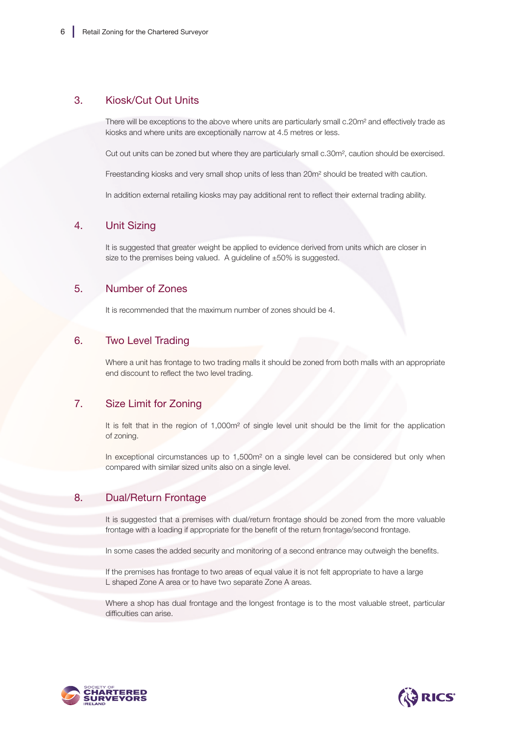#### 3. Kiosk/Cut Out Units

There will be exceptions to the above where units are particularly small c.20m² and effectively trade as kiosks and where units are exceptionally narrow at 4.5 metres or less.

Cut out units can be zoned but where they are particularly small c.30m², caution should be exercised.

Freestanding kiosks and very small shop units of less than 20m² should be treated with caution.

In addition external retailing kiosks may pay additional rent to reflect their external trading ability.

#### 4. Unit Sizing

It is suggested that greater weight be applied to evidence derived from units which are closer in size to the premises being valued. A guideline of  $\pm 50\%$  is suggested.

#### 5. Number of Zones

It is recommended that the maximum number of zones should be 4.

#### 6. Two Level Trading

Where a unit has frontage to two trading malls it should be zoned from both malls with an appropriate end discount to reflect the two level trading.

#### 7. Size Limit for Zoning

It is felt that in the region of 1,000m<sup>2</sup> of single level unit should be the limit for the application of zoning.

In exceptional circumstances up to 1,500m<sup>2</sup> on a single level can be considered but only when compared with similar sized units also on a single level.

#### 8. Dual/Return Frontage

It is suggested that a premises with dual/return frontage should be zoned from the more valuable frontage with a loading if appropriate for the benefit of the return frontage/second frontage.

In some cases the added security and monitoring of a second entrance may outweigh the benefits.

If the premises has frontage to two areas of equal value it is not felt appropriate to have a large L shaped Zone A area or to have two separate Zone A areas.

Where a shop has dual frontage and the longest frontage is to the most valuable street, particular difficulties can arise.



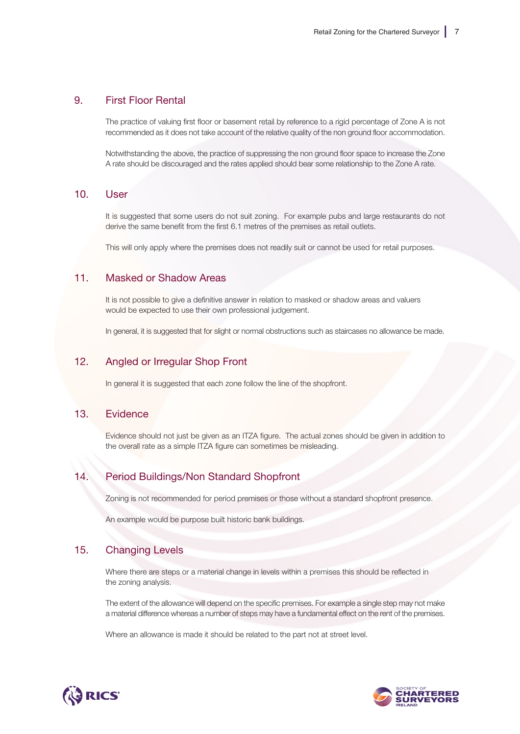#### 9. First Floor Rental

The practice of valuing first floor or basement retail by reference to a rigid percentage of Zone A is not recommended as it does not take account of the relative quality of the non ground floor accommodation.

Notwithstanding the above, the practice of suppressing the non ground floor space to increase the Zone A rate should be discouraged and the rates applied should bear some relationship to the Zone A rate.

#### 10. User

It is suggested that some users do not suit zoning. For example pubs and large restaurants do not derive the same benefit from the first 6.1 metres of the premises as retail outlets.

This will only apply where the premises does not readily suit or cannot be used for retail purposes.

#### 11. Masked or Shadow Areas

It is not possible to give a definitive answer in relation to masked or shadow areas and valuers would be expected to use their own professional judgement.

In general, it is suggested that for slight or normal obstructions such as staircases no allowance be made.

#### 12. Angled or Irregular Shop Front

In general it is suggested that each zone follow the line of the shopfront.

#### 13. Evidence

Evidence should not just be given as an ITZA figure. The actual zones should be given in addition to the overall rate as a simple ITZA figure can sometimes be misleading.

#### 14. Period Buildings/Non Standard Shopfront

Zoning is not recommended for period premises or those without a standard shopfront presence.

An example would be purpose built historic bank buildings.

#### 15. Changing Levels

Where there are steps or a material change in levels within a premises this should be reflected in the zoning analysis.

The extent of the allowance will depend on the specific premises. For example a single step may not make a material difference whereas a number of steps may have a fundamental effect on the rent of the premises.

Where an allowance is made it should be related to the part not at street level.